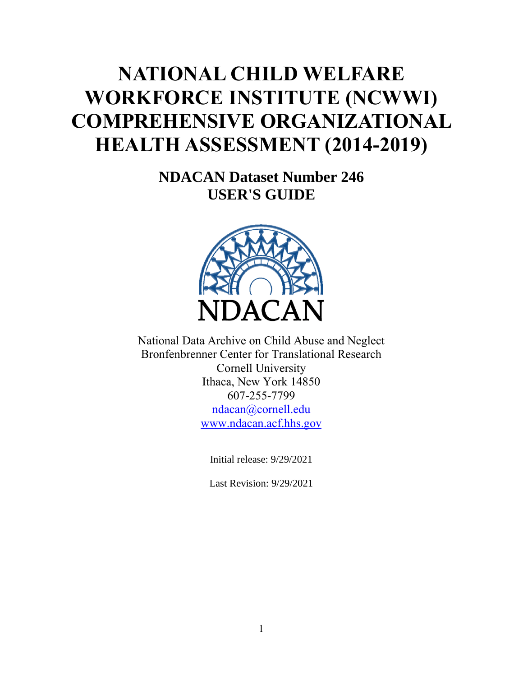# <span id="page-0-0"></span>**NATIONAL CHILD WELFARE WORKFORCE INSTITUTE (NCWWI) COMPREHENSIVE ORGANIZATIONAL HEALTH ASSESSMENT** (2014-2019)

**NDACAN Dataset Number 246 USER'S GUIDE**



National Data Archive on Child Abuse and Neglect Bronfenbrenner Center for Translational Research Cornell University Ithaca, New York 14850 607-255-7799 [ndacan@cornell.edu](mailto:ndacan@cornell.edu) [www.ndacan.acf.hhs.gov](https://www.ndacan.acf.hhs.gov/)

Initial release: 9/29/2021

Last Revision: 9/29/2021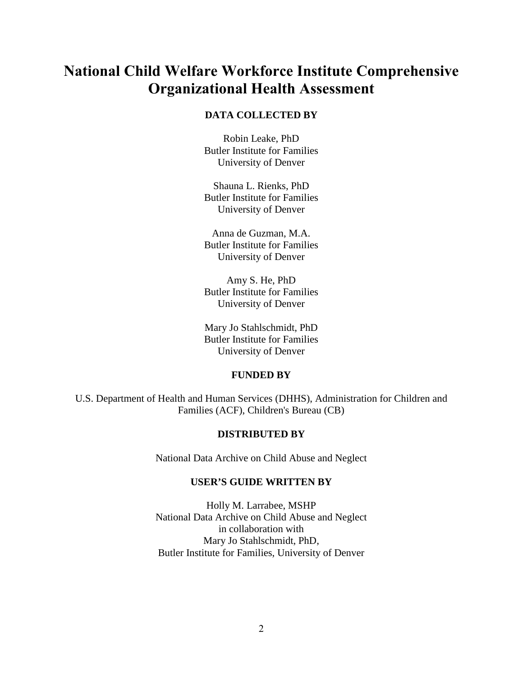## <span id="page-1-0"></span>**National Child Welfare Workforce Institute Comprehensive Organizational Health Assessment**

#### **DATA COLLECTED BY**

Robin Leake, PhD Butler Institute for Families University of Denver

Shauna L. Rienks, PhD Butler Institute for Families University of Denver

Anna de Guzman, M.A. Butler Institute for Families University of Denver

Amy S. He, PhD Butler Institute for Families University of Denver

Mary Jo Stahlschmidt, PhD Butler Institute for Families University of Denver

#### **FUNDED BY**

<span id="page-1-3"></span><span id="page-1-2"></span><span id="page-1-1"></span>U.S. Department of Health and Human Services (DHHS), Administration for Children and Families (ACF), Children's Bureau (CB)

#### **DISTRIBUTED BY**

National Data Archive on Child Abuse and Neglect

## **USER'S GUIDE WRITTEN BY**

Holly M. Larrabee, MSHP National Data Archive on Child Abuse and Neglect in collaboration with Mary Jo Stahlschmidt, PhD, Butler Institute for Families, University of Denver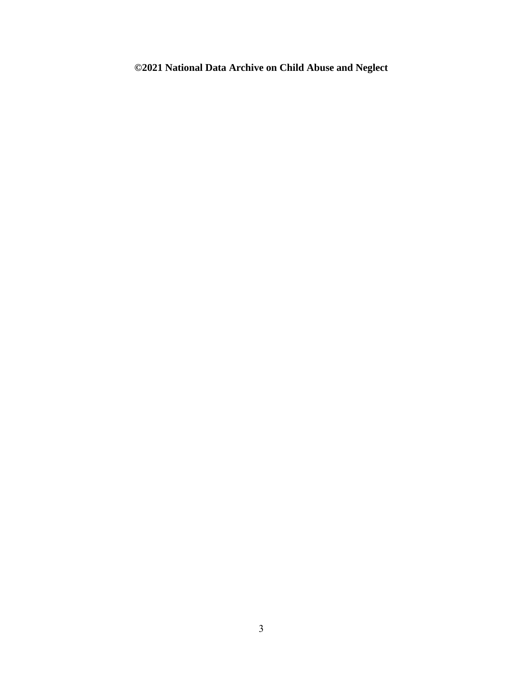## **©2021 National Data Archive on Child Abuse and Neglect**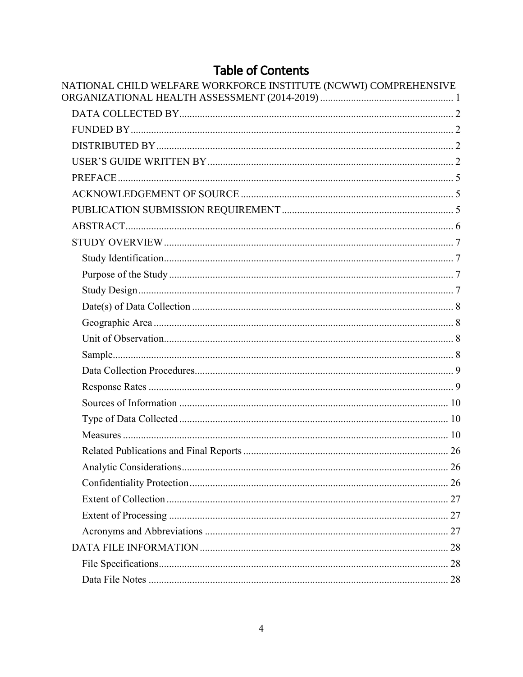## **Table of Contents**

| NATIONAL CHILD WELFARE WORKFORCE INSTITUTE (NCWWI) COMPREHENSIVE |  |
|------------------------------------------------------------------|--|
|                                                                  |  |
|                                                                  |  |
|                                                                  |  |
|                                                                  |  |
|                                                                  |  |
|                                                                  |  |
|                                                                  |  |
|                                                                  |  |
|                                                                  |  |
|                                                                  |  |
|                                                                  |  |
|                                                                  |  |
|                                                                  |  |
|                                                                  |  |
|                                                                  |  |
|                                                                  |  |
|                                                                  |  |
|                                                                  |  |
|                                                                  |  |
|                                                                  |  |
|                                                                  |  |
|                                                                  |  |
|                                                                  |  |
|                                                                  |  |
|                                                                  |  |
|                                                                  |  |
|                                                                  |  |
|                                                                  |  |
|                                                                  |  |
|                                                                  |  |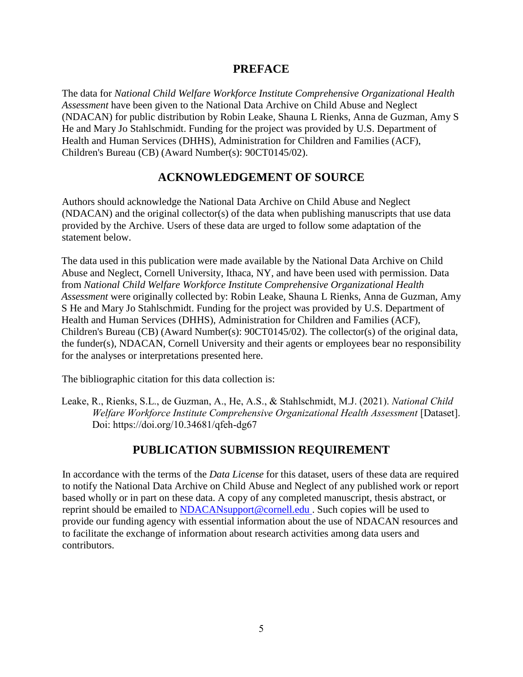## **PREFACE**

<span id="page-4-0"></span>The data for *National Child Welfare Workforce Institute Comprehensive Organizational Health Assessment* have been given to the National Data Archive on Child Abuse and Neglect (NDACAN) for public distribution by Robin Leake, Shauna L Rienks, Anna de Guzman, Amy S He and Mary Jo Stahlschmidt. Funding for the project was provided by U.S. Department of Health and Human Services (DHHS), Administration for Children and Families (ACF), Children's Bureau (CB) (Award Number(s): 90CT0145/02).

## **ACKNOWLEDGEMENT OF SOURCE**

<span id="page-4-1"></span>Authors should acknowledge the National Data Archive on Child Abuse and Neglect (NDACAN) and the original collector(s) of the data when publishing manuscripts that use data provided by the Archive. Users of these data are urged to follow some adaptation of the statement below.

The data used in this publication were made available by the National Data Archive on Child Abuse and Neglect, Cornell University, Ithaca, NY, and have been used with permission. Data from *National Child Welfare Workforce Institute Comprehensive Organizational Health Assessment* were originally collected by: Robin Leake, Shauna L Rienks, Anna de Guzman, Amy S He and Mary Jo Stahlschmidt. Funding for the project was provided by U.S. Department of Health and Human Services (DHHS), Administration for Children and Families (ACF), Children's Bureau (CB) (Award Number(s): 90CT0145/02). The collector(s) of the original data, the funder(s), NDACAN, Cornell University and their agents or employees bear no responsibility for the analyses or interpretations presented here.

The bibliographic citation for this data collection is:

Leake, R., Rienks, S.L., de Guzman, A., He, A.S., & Stahlschmidt, M.J. (2021). *National Child Welfare Workforce Institute Comprehensive Organizational Health Assessment* [Dataset]. Doi: https://doi.org/10.34681/qfeh-dg67

## **PUBLICATION SUBMISSION REQUIREMENT**

<span id="page-4-2"></span>In accordance with the terms of the *Data License* for this dataset, users of these data are required to notify the National Data Archive on Child Abuse and Neglect of any published work or report based wholly or in part on these data. A copy of any completed manuscript, thesis abstract, or reprint should be emailed to [NDACANsupport@cornell.edu](mailto:ndacansupport@cornell.edu) . Such copies will be used to provide our funding agency with essential information about the use of NDACAN resources and to facilitate the exchange of information about research activities among data users and contributors.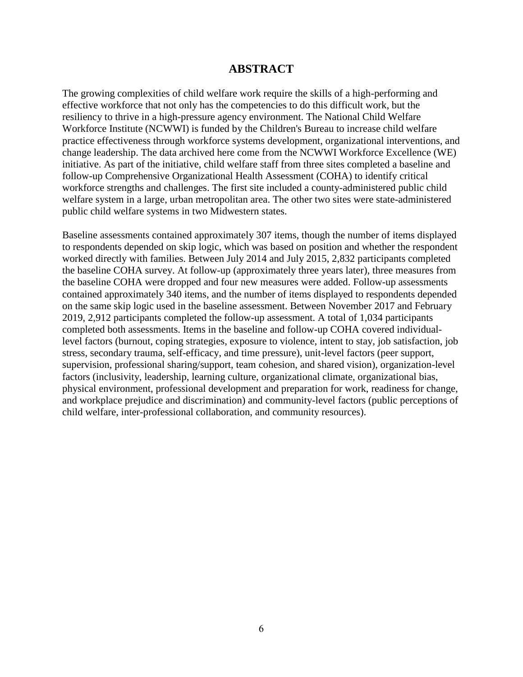## **ABSTRACT**

<span id="page-5-0"></span>The growing complexities of child welfare work require the skills of a high-performing and effective workforce that not only has the competencies to do this difficult work, but the resiliency to thrive in a high-pressure agency environment. The National Child Welfare Workforce Institute (NCWWI) is funded by the Children's Bureau to increase child welfare practice effectiveness through workforce systems development, organizational interventions, and change leadership. The data archived here come from the NCWWI Workforce Excellence (WE) initiative. As part of the initiative, child welfare staff from three sites completed a baseline and follow-up Comprehensive Organizational Health Assessment (COHA) to identify critical workforce strengths and challenges. The first site included a county-administered public child welfare system in a large, urban metropolitan area. The other two sites were state-administered public child welfare systems in two Midwestern states.

Baseline assessments contained approximately 307 items, though the number of items displayed to respondents depended on skip logic, which was based on position and whether the respondent worked directly with families. Between July 2014 and July 2015, 2,832 participants completed the baseline COHA survey. At follow-up (approximately three years later), three measures from the baseline COHA were dropped and four new measures were added. Follow-up assessments contained approximately 340 items, and the number of items displayed to respondents depended on the same skip logic used in the baseline assessment. Between November 2017 and February 2019, 2,912 participants completed the follow-up assessment. A total of 1,034 participants completed both assessments. Items in the baseline and follow-up COHA covered individuallevel factors (burnout, coping strategies, exposure to violence, intent to stay, job satisfaction, job stress, secondary trauma, self-efficacy, and time pressure), unit-level factors (peer support, supervision, professional sharing/support, team cohesion, and shared vision), organization-level factors (inclusivity, leadership, learning culture, organizational climate, organizational bias, physical environment, professional development and preparation for work, readiness for change, and workplace prejudice and discrimination) and community-level factors (public perceptions of child welfare, inter-professional collaboration, and community resources).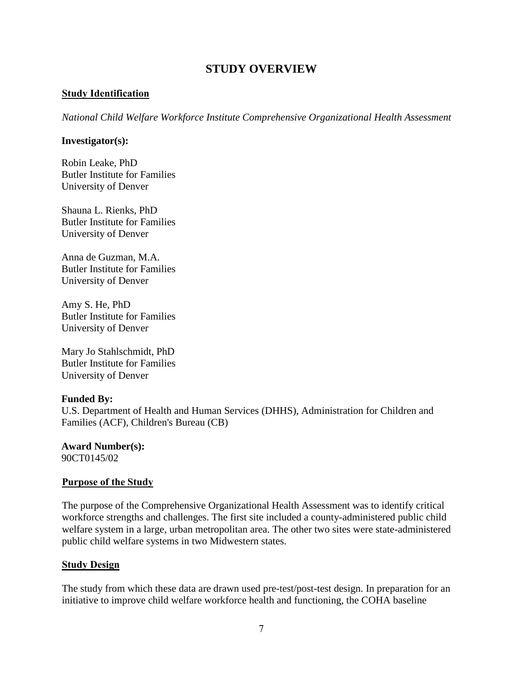## **STUDY OVERVIEW**

#### <span id="page-6-1"></span><span id="page-6-0"></span>**Study Identification**

*National Child Welfare Workforce Institute Comprehensive Organizational Health Assessment*

#### **Investigator(s):**

Robin Leake, PhD Butler Institute for Families University of Denver

Shauna L. Rienks, PhD Butler Institute for Families University of Denver

Anna de Guzman, M.A. Butler Institute for Families University of Denver

Amy S. He, PhD Butler Institute for Families University of Denver

Mary Jo Stahlschmidt, PhD Butler Institute for Families University of Denver

## **Funded By:**

U.S. Department of Health and Human Services (DHHS), Administration for Children and Families (ACF), Children's Bureau (CB)

**Award Number(s):** 90CT0145/02

## <span id="page-6-2"></span>**Purpose of the Study**

The purpose of the Comprehensive Organizational Health Assessment was to identify critical workforce strengths and challenges. The first site included a county-administered public child welfare system in a large, urban metropolitan area. The other two sites were state-administered public child welfare systems in two Midwestern states.

#### <span id="page-6-3"></span>**Study Design**

The study from which these data are drawn used pre-test/post-test design. In preparation for an initiative to improve child welfare workforce health and functioning, the COHA baseline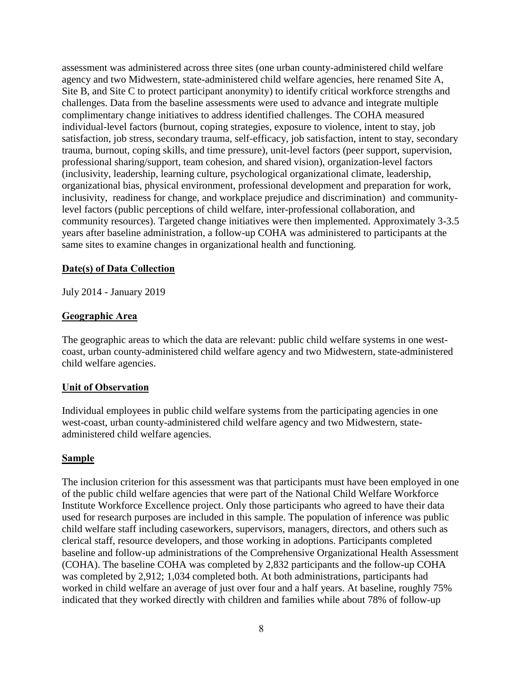assessment was administered across three sites (one urban county-administered child welfare agency and two Midwestern, state-administered child welfare agencies, here renamed Site A, Site B, and Site C to protect participant anonymity) to identify critical workforce strengths and challenges. Data from the baseline assessments were used to advance and integrate multiple complimentary change initiatives to address identified challenges. The COHA measured individual-level factors (burnout, coping strategies, exposure to violence, intent to stay, job satisfaction, job stress, secondary trauma, self-efficacy, job satisfaction, intent to stay, secondary trauma, burnout, coping skills, and time pressure), unit-level factors (peer support, supervision, professional sharing/support, team cohesion, and shared vision), organization-level factors (inclusivity, leadership, learning culture, psychological organizational climate, leadership, organizational bias, physical environment, professional development and preparation for work, inclusivity, readiness for change, and workplace prejudice and discrimination) and communitylevel factors (public perceptions of child welfare, inter-professional collaboration, and community resources). Targeted change initiatives were then implemented. Approximately 3-3.5 years after baseline administration, a follow-up COHA was administered to participants at the same sites to examine changes in organizational health and functioning.

#### <span id="page-7-0"></span>**Date(s) of Data Collection**

July 2014 - January 2019

#### <span id="page-7-1"></span>**Geographic Area**

The geographic areas to which the data are relevant: public child welfare systems in one westcoast, urban county-administered child welfare agency and two Midwestern, state-administered child welfare agencies.

#### <span id="page-7-2"></span>**Unit of Observation**

Individual employees in public child welfare systems from the participating agencies in one west-coast, urban county-administered child welfare agency and two Midwestern, stateadministered child welfare agencies.

#### <span id="page-7-3"></span>**Sample**

The inclusion criterion for this assessment was that participants must have been employed in one of the public child welfare agencies that were part of the National Child Welfare Workforce Institute Workforce Excellence project. Only those participants who agreed to have their data used for research purposes are included in this sample. The population of inference was public child welfare staff including caseworkers, supervisors, managers, directors, and others such as clerical staff, resource developers, and those working in adoptions. Participants completed baseline and follow-up administrations of the Comprehensive Organizational Health Assessment (COHA). The baseline COHA was completed by 2,832 participants and the follow-up COHA was completed by 2,912; 1,034 completed both. At both administrations, participants had worked in child welfare an average of just over four and a half years. At baseline, roughly 75% indicated that they worked directly with children and families while about 78% of follow-up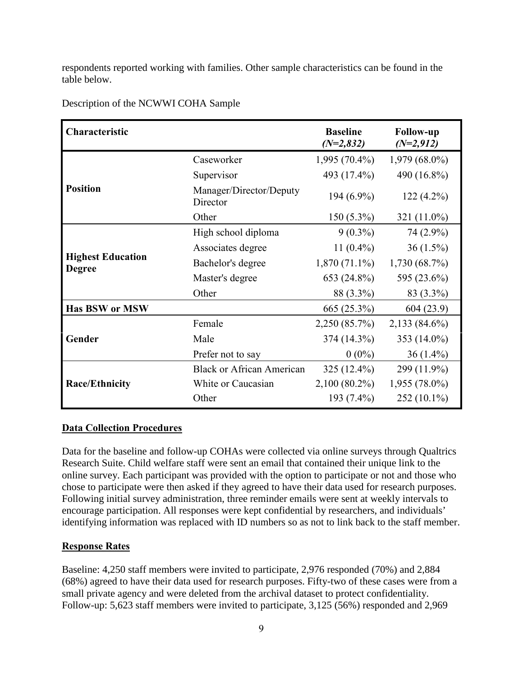respondents reported working with families. Other sample characteristics can be found in the table below.

| Characteristic                            |                                     | <b>Baseline</b><br>$(N=2,832)$ | <b>Follow-up</b><br>$(N=2,912)$ |
|-------------------------------------------|-------------------------------------|--------------------------------|---------------------------------|
|                                           | Caseworker                          | $1,995(70.4\%)$                | $1,979(68.0\%)$                 |
|                                           | Supervisor                          | 493 (17.4%)                    | 490 (16.8%)                     |
| <b>Position</b>                           | Manager/Director/Deputy<br>Director | 194 (6.9%)                     | $122(4.2\%)$                    |
|                                           | Other                               | $150(5.3\%)$                   | 321 (11.0%)                     |
|                                           | High school diploma                 | $9(0.3\%)$                     | 74 (2.9%)                       |
|                                           | Associates degree                   | 11 $(0.4\%)$                   | $36(1.5\%)$                     |
| <b>Highest Education</b><br><b>Degree</b> | Bachelor's degree                   | $1,870(71.1\%)$                | $1,730(68.7\%)$                 |
|                                           | Master's degree                     | 653 (24.8%)                    | 595 (23.6%)                     |
|                                           | Other                               | 88 (3.3%)                      | 83 (3.3%)                       |
| <b>Has BSW or MSW</b>                     |                                     | 665 (25.3%)                    | 604(23.9)                       |
|                                           | Female                              | 2,250 (85.7%)                  | $2,133(84.6\%)$                 |
| Gender                                    | Male                                | 374 (14.3%)                    | 353 (14.0%)                     |
|                                           | Prefer not to say                   | $0(0\%)$                       | $36(1.4\%)$                     |
|                                           | <b>Black or African American</b>    | 325 (12.4%)                    | 299 (11.9%)                     |
| <b>Race/Ethnicity</b>                     | White or Caucasian                  | $2,100(80.2\%)$                | $1,955(78.0\%)$                 |
|                                           | Other                               | 193 (7.4%)                     | $252(10.1\%)$                   |

Description of the NCWWI COHA Sample

## <span id="page-8-0"></span>**Data Collection Procedures**

Data for the baseline and follow-up COHAs were collected via online surveys through Qualtrics Research Suite. Child welfare staff were sent an email that contained their unique link to the online survey. Each participant was provided with the option to participate or not and those who chose to participate were then asked if they agreed to have their data used for research purposes. Following initial survey administration, three reminder emails were sent at weekly intervals to encourage participation. All responses were kept confidential by researchers, and individuals' identifying information was replaced with ID numbers so as not to link back to the staff member.

## <span id="page-8-1"></span>**Response Rates**

Baseline: 4,250 staff members were invited to participate, 2,976 responded (70%) and 2,884 (68%) agreed to have their data used for research purposes. Fifty-two of these cases were from a small private agency and were deleted from the archival dataset to protect confidentiality. Follow-up: 5,623 staff members were invited to participate, 3,125 (56%) responded and 2,969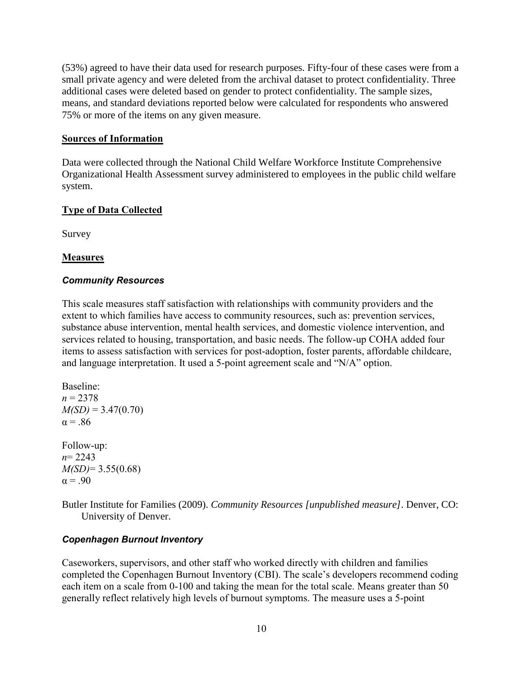(53%) agreed to have their data used for research purposes. Fifty-four of these cases were from a small private agency and were deleted from the archival dataset to protect confidentiality. Three additional cases were deleted based on gender to protect confidentiality. The sample sizes, means, and standard deviations reported below were calculated for respondents who answered 75% or more of the items on any given measure.

## <span id="page-9-0"></span>**Sources of Information**

Data were collected through the National Child Welfare Workforce Institute Comprehensive Organizational Health Assessment survey administered to employees in the public child welfare system.

## <span id="page-9-1"></span>**Type of Data Collected**

Survey

## <span id="page-9-2"></span>**Measures**

## *Community Resources*

This scale measures staff satisfaction with relationships with community providers and the extent to which families have access to community resources, such as: prevention services, substance abuse intervention, mental health services, and domestic violence intervention, and services related to housing, transportation, and basic needs. The follow-up COHA added four items to assess satisfaction with services for post-adoption, foster parents, affordable childcare, and language interpretation. It used a 5-point agreement scale and "N/A" option.

```
Baseline:
n = 2378M(SD) = 3.47(0.70)\alpha = .86
```
Follow-up: *n*= 2243 *M(SD)*= 3.55(0.68)  $\alpha = .90$ 

Butler Institute for Families (2009). *Community Resources [unpublished measure]*. Denver, CO: University of Denver.

## *Copenhagen Burnout Inventory*

Caseworkers, supervisors, and other staff who worked directly with children and families completed the Copenhagen Burnout Inventory (CBI). The scale's developers recommend coding each item on a scale from 0-100 and taking the mean for the total scale. Means greater than 50 generally reflect relatively high levels of burnout symptoms. The measure uses a 5-point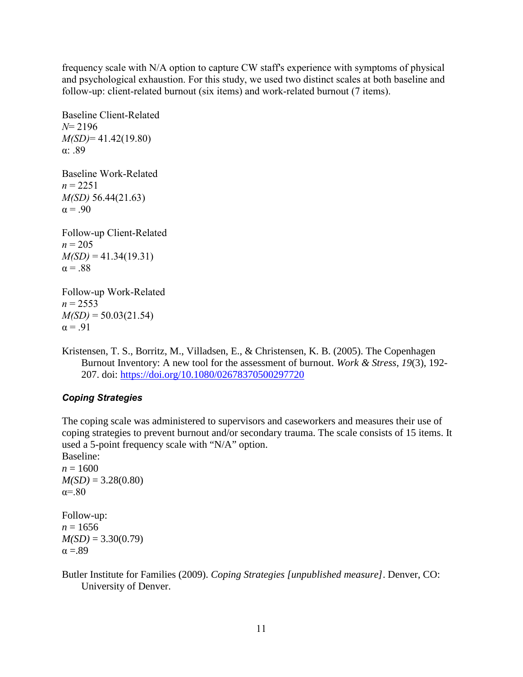frequency scale with N/A option to capture CW staff's experience with symptoms of physical and psychological exhaustion. For this study, we used two distinct scales at both baseline and follow-up: client-related burnout (six items) and work-related burnout (7 items).

Baseline Client-Related *N*= 2196 *M(SD)*= 41.42(19.80) α: .89 Baseline Work-Related  $n = 2251$ *M(SD)* 56.44(21.63)  $\alpha = .90$ Follow-up Client-Related Follow-up Work-Related

 $n = 205$  $M(SD) = 41.34(19.31)$  $\alpha = .88$ 

 $n = 2553$  $M(SD) = 50.03(21.54)$  $\alpha = .91$ 

Kristensen, T. S., Borritz, M., Villadsen, E., & Christensen, K. B. (2005). The Copenhagen Burnout Inventory: A new tool for the assessment of burnout. *Work & Stress*, *19*(3), 192- 207. doi: <https://doi.org/10.1080/02678370500297720>

## *Coping Strategies*

The coping scale was administered to supervisors and caseworkers and measures their use of coping strategies to prevent burnout and/or secondary trauma. The scale consists of 15 items. It used a 5-point frequency scale with "N/A" option.

Baseline:  $n = 1600$  $M(SD) = 3.28(0.80)$  $\alpha = .80$ Follow-up:

 $n = 1656$  $M(SD) = 3.30(0.79)$  $\alpha = .89$ 

Butler Institute for Families (2009). *Coping Strategies [unpublished measure]*. Denver, CO: University of Denver.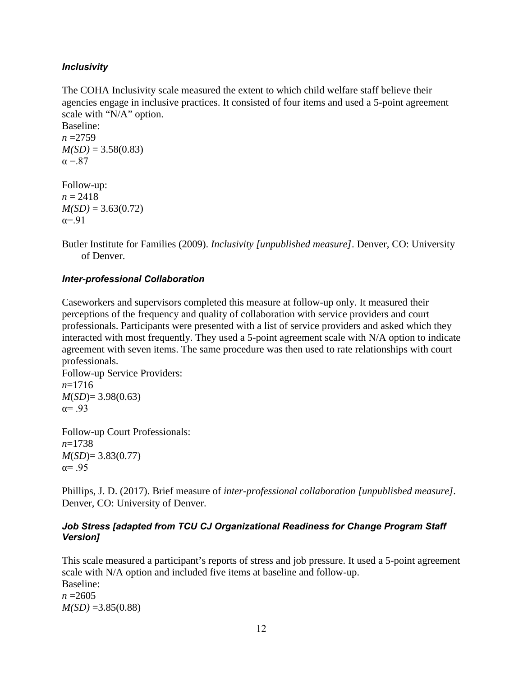## *Inclusivity*

The COHA Inclusivity scale measured the extent to which child welfare staff believe their agencies engage in inclusive practices. It consisted of four items and used a 5-point agreement scale with "N/A" option.

Baseline: *n* =2759  $M(SD) = 3.58(0.83)$  $\alpha = 87$ 

Follow-up:  $n = 2418$  $M(SD) = 3.63(0.72)$  $\alpha = -91$ 

Butler Institute for Families (2009). *Inclusivity [unpublished measure]*. Denver, CO: University of Denver.

## *Inter-professional Collaboration*

Caseworkers and supervisors completed this measure at follow-up only. It measured their perceptions of the frequency and quality of collaboration with service providers and court professionals. Participants were presented with a list of service providers and asked which they interacted with most frequently. They used a 5-point agreement scale with N/A option to indicate agreement with seven items. The same procedure was then used to rate relationships with court professionals.

Follow-up Service Providers: *n*=1716 *M*(*SD*)= 3.98(0.63)  $\alpha = .93$ 

Follow-up Court Professionals: *n*=1738 *M*(*SD*)= 3.83(0.77)  $\alpha = .95$ 

Phillips, J. D. (2017). Brief measure of *inter-professional collaboration [unpublished measure].* Denver, CO: University of Denver.

## *Job Stress [adapted from TCU CJ Organizational Readiness for Change Program Staff Version]*

This scale measured a participant's reports of stress and job pressure. It used a 5-point agreement scale with N/A option and included five items at baseline and follow-up. Baseline:  $n = 2605$  $M(SD) = 3.85(0.88)$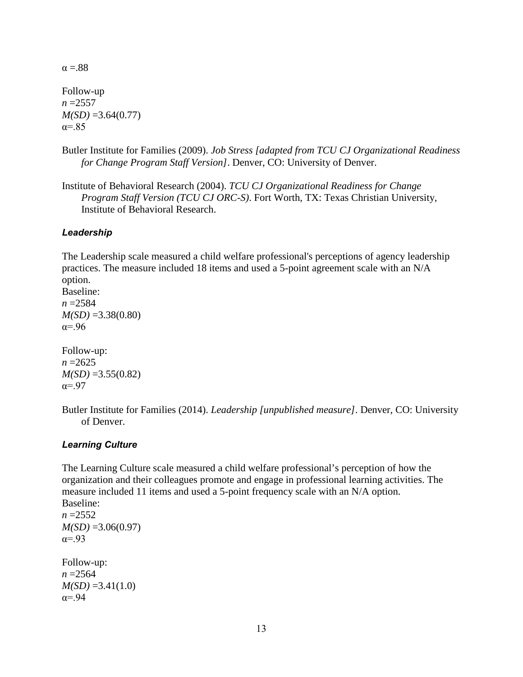$\alpha = .88$ 

Follow-up *n* =2557  $M(SD) = 3.64(0.77)$  $\alpha = .85$ 

- Butler Institute for Families (2009). *Job Stress [adapted from TCU CJ Organizational Readiness for Change Program Staff Version]*. Denver, CO: University of Denver.
- Institute of Behavioral Research (2004). *TCU CJ Organizational Readiness for Change Program Staff Version (TCU CJ ORC-S)*. Fort Worth, TX: Texas Christian University, Institute of Behavioral Research.

## *Leadership*

The Leadership scale measured a child welfare professional's perceptions of agency leadership practices. The measure included 18 items and used a 5-point agreement scale with an N/A option.

Baseline:  $n = 2584$ *M(SD)* =3.38(0.80) α=.96

Follow-up:  $n = 2625$  $M(SD) = 3.55(0.82)$  $\alpha = .97$ 

Butler Institute for Families (2014). *Leadership [unpublished measure]*. Denver, CO: University of Denver.

#### *Learning Culture*

The Learning Culture scale measured a child welfare professional's perception of how the organization and their colleagues promote and engage in professional learning activities. The measure included 11 items and used a 5-point frequency scale with an N/A option. Baseline:  $n = 2552$  $M(SD) = 3.06(0.97)$  $\alpha = .93$ Follow-up: *n* =2564  $M(SD) = 3.41(1.0)$  $\alpha = .94$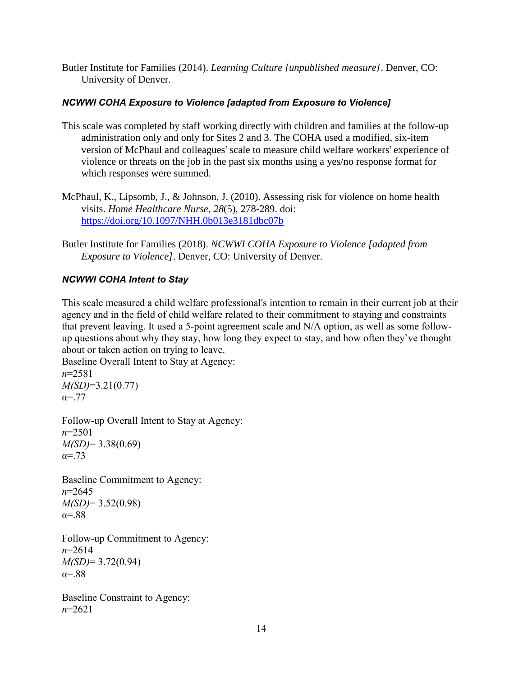Butler Institute for Families (2014). *Learning Culture [unpublished measure]*. Denver, CO: University of Denver.

## *NCWWI COHA Exposure to Violence [adapted from Exposure to Violence]*

- This scale was completed by staff working directly with children and families at the follow-up administration only and only for Sites 2 and 3. The COHA used a modified, six-item version of McPhaul and colleagues' scale to measure child welfare workers' experience of violence or threats on the job in the past six months using a yes/no response format for which responses were summed.
- McPhaul, K., Lipsomb, J., & Johnson, J. (2010). Assessing risk for violence on home health visits. *Home Healthcare Nurse*, *28*(5), 278-289. doi: <https://doi.org/10.1097/NHH.0b013e3181dbc07b>
- Butler Institute for Families (2018). *NCWWI COHA Exposure to Violence [adapted from Exposure to Violence]*. Denver, CO: University of Denver.

## *NCWWI COHA Intent to Stay*

This scale measured a child welfare professional's intention to remain in their current job at their agency and in the field of child welfare related to their commitment to staying and constraints that prevent leaving. It used a 5-point agreement scale and N/A option, as well as some followup questions about why they stay, how long they expect to stay, and how often they've thought about or taken action on trying to leave.

Baseline Overall Intent to Stay at Agency: *n*=2581

*M(SD)*=3.21(0.77)  $\alpha = .77$ 

Follow-up Overall Intent to Stay at Agency: *n*=2501 *M(SD)*= 3.38(0.69)  $α = .73$ 

Baseline Commitment to Agency: *n*=2645 *M(SD)*= 3.52(0.98)  $\alpha = .88$ 

Follow-up Commitment to Agency: *n*=2614 *M(SD)*= 3.72(0.94)  $\alpha = .88$ 

Baseline Constraint to Agency: *n*=2621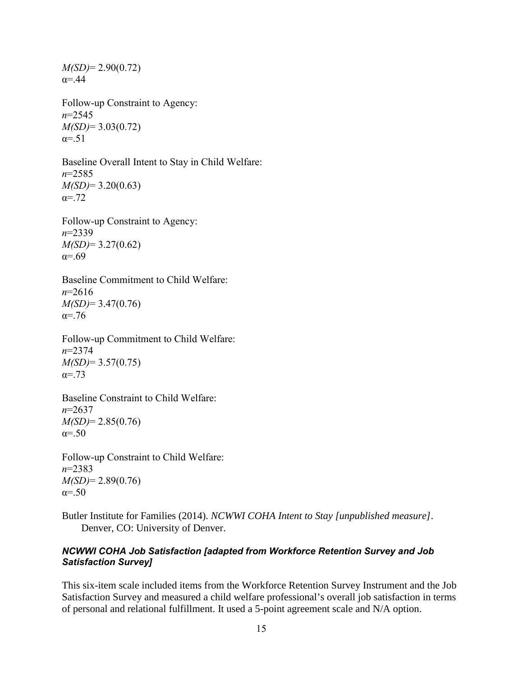*M(SD)*= 2.90(0.72)  $\alpha = .44$ 

Follow-up Constraint to Agency: *n*=2545 *M(SD)*= 3.03(0.72)  $\alpha = 51$ 

Baseline Overall Intent to Stay in Child Welfare: *n*=2585 *M(SD)*= 3.20(0.63)  $\alpha = 72$ 

Follow-up Constraint to Agency: *n*=2339 *M(SD)*= 3.27(0.62)  $α=69$ 

Baseline Commitment to Child Welfare: *n*=2616 *M(SD)*= 3.47(0.76) α=.76

Follow-up Commitment to Child Welfare: *n*=2374 *M(SD)*= 3.57(0.75)  $a = 73$ 

Baseline Constraint to Child Welfare: *n*=2637 *M(SD)*= 2.85(0.76)  $\alpha = .50$ 

Follow-up Constraint to Child Welfare: *n*=2383 *M(SD)*= 2.89(0.76)  $\alpha = .50$ 

Butler Institute for Families (2014). *NCWWI COHA Intent to Stay [unpublished measure]*. Denver, CO: University of Denver.

#### *NCWWI COHA Job Satisfaction [adapted from Workforce Retention Survey and Job Satisfaction Survey]*

This six-item scale included items from the Workforce Retention Survey Instrument and the Job Satisfaction Survey and measured a child welfare professional's overall job satisfaction in terms of personal and relational fulfillment. It used a 5-point agreement scale and N/A option.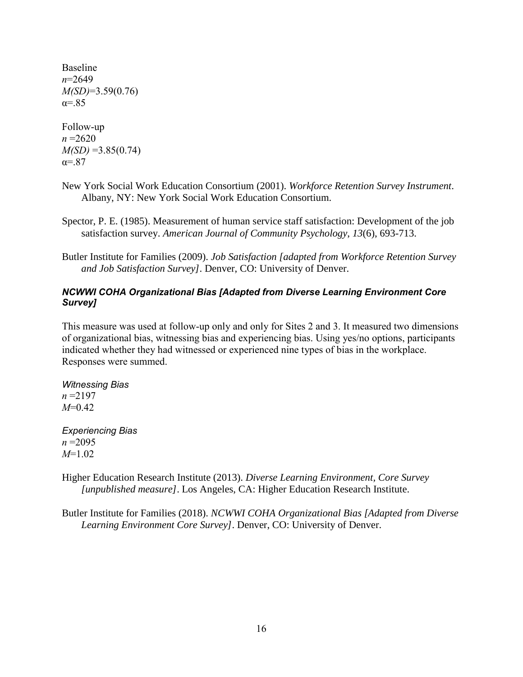Baseline *n*=2649 *M(SD)*=3.59(0.76)  $\alpha = 85$ 

Follow-up *n* =2620 *M(SD)* =3.85(0.74)  $\alpha = 87$ 

- New York Social Work Education Consortium (2001). *Workforce Retention Survey Instrument*. Albany, NY: New York Social Work Education Consortium.
- Spector, P. E. (1985). Measurement of human service staff satisfaction: Development of the job satisfaction survey. *American Journal of Community Psychology*, *13*(6), 693-713.
- Butler Institute for Families (2009). *Job Satisfaction [adapted from Workforce Retention Survey and Job Satisfaction Survey]*. Denver, CO: University of Denver.

## *NCWWI COHA Organizational Bias [Adapted from Diverse Learning Environment Core Survey]*

This measure was used at follow-up only and only for Sites 2 and 3. It measured two dimensions of organizational bias, witnessing bias and experiencing bias. Using yes/no options, participants indicated whether they had witnessed or experienced nine types of bias in the workplace. Responses were summed.

*Witnessing Bias*  $n = 2197$ *M*=0.42

*Experiencing Bias n* =2095 *M*=1.02

Higher Education Research Institute (2013). *Diverse Learning Environment, Core Survey [unpublished measure]*. Los Angeles, CA: Higher Education Research Institute.

Butler Institute for Families (2018). *NCWWI COHA Organizational Bias [Adapted from Diverse Learning Environment Core Survey]*. Denver, CO: University of Denver.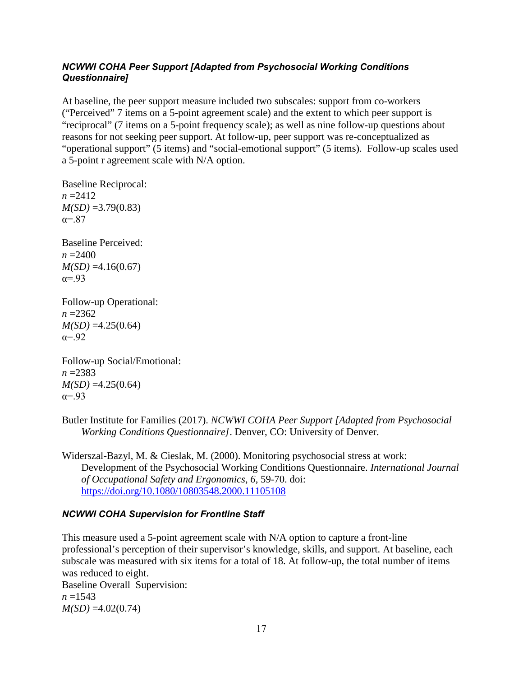## *NCWWI COHA Peer Support [Adapted from Psychosocial Working Conditions Questionnaire]*

At baseline, the peer support measure included two subscales: support from co-workers ("Perceived" 7 items on a 5-point agreement scale) and the extent to which peer support is "reciprocal" (7 items on a 5-point frequency scale); as well as nine follow-up questions about reasons for not seeking peer support. At follow-up, peer support was re-conceptualized as "operational support" (5 items) and "social-emotional support" (5 items). Follow-up scales used a 5-point r agreement scale with N/A option.

Baseline Reciprocal:  $n = 2412$ *M(SD)* =3.79(0.83)  $\alpha = 87$ 

Baseline Perceived:  $n = 2400$  $M(SD) = 4.16(0.67)$  $\alpha = .93$ 

Follow-up Operational: *n* =2362  $M(SD) = 4.25(0.64)$  $\alpha = .92$ 

Follow-up Social/Emotional: *n* =2383 *M(SD)* =4.25(0.64)  $\alpha = .93$ 

Butler Institute for Families (2017). *NCWWI COHA Peer Support [Adapted from Psychosocial Working Conditions Questionnaire]*. Denver, CO: University of Denver.

Widerszal-Bazyl, M. & Cieslak, M. (2000). Monitoring psychosocial stress at work: Development of the Psychosocial Working Conditions Questionnaire. *International Journal of Occupational Safety and Ergonomics*, *6*, 59-70. doi: <https://doi.org/10.1080/10803548.2000.11105108>

## *NCWWI COHA Supervision for Frontline Staff*

This measure used a 5-point agreement scale with N/A option to capture a front-line professional's perception of their supervisor's knowledge, skills, and support. At baseline, each subscale was measured with six items for a total of 18. At follow-up, the total number of items was reduced to eight.

Baseline Overall Supervision:  $n = 1543$  $M(SD) = 4.02(0.74)$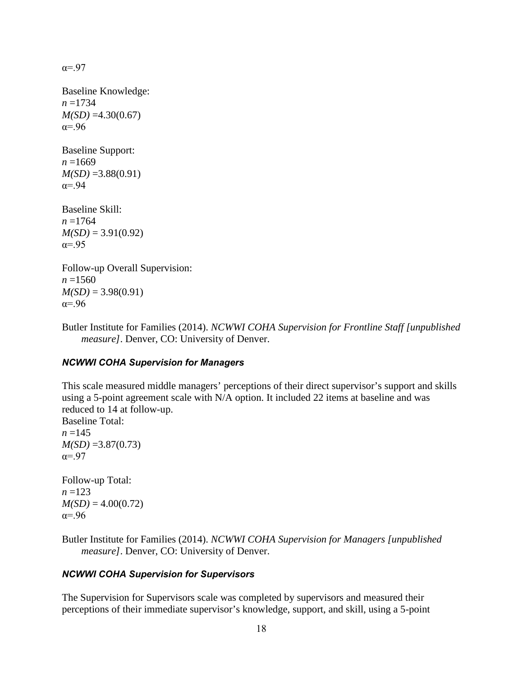$\alpha = .97$ 

Baseline Knowledge: *n* =1734  $M(SD) = 4.30(0.67)$ α=.96

Baseline Support:  $n = 1669$  $M(SD) = 3.88(0.91)$  $\alpha = .94$ 

Baseline Skill: *n* =1764  $M(SD) = 3.91(0.92)$  $\alpha = .95$ 

Follow-up Overall Supervision:  $n = 1560$  $M(SD) = 3.98(0.91)$  $\alpha = .96$ 

Butler Institute for Families (2014). *NCWWI COHA Supervision for Frontline Staff [unpublished measure]*. Denver, CO: University of Denver.

## *NCWWI COHA Supervision for Managers*

This scale measured middle managers' perceptions of their direct supervisor's support and skills using a 5-point agreement scale with N/A option. It included 22 items at baseline and was reduced to 14 at follow-up.

Baseline Total:  $n = 145$ *M(SD)* =3.87(0.73)  $\alpha = .97$ 

Follow-up Total:  $n = 123$  $M(SD) = 4.00(0.72)$  $\alpha = .96$ 

Butler Institute for Families (2014). *NCWWI COHA Supervision for Managers [unpublished measure]*. Denver, CO: University of Denver.

## *NCWWI COHA Supervision for Supervisors*

The Supervision for Supervisors scale was completed by supervisors and measured their perceptions of their immediate supervisor's knowledge, support, and skill, using a 5-point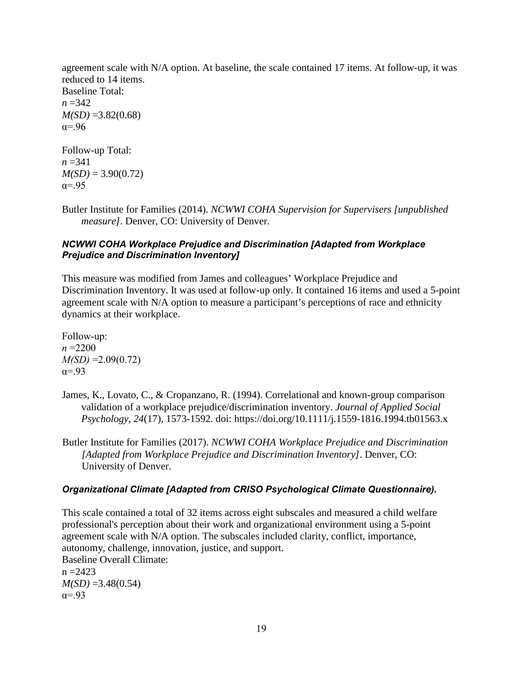agreement scale with N/A option. At baseline, the scale contained 17 items. At follow-up, it was reduced to 14 items. Baseline Total: *n* =342  $M(SD) = 3.82(0.68)$  $a = .96$ Follow-up Total:  $n = 341$ 

- $M(SD) = 3.90(0.72)$  $\alpha = .95$
- Butler Institute for Families (2014). *NCWWI COHA Supervision for Supervisers [unpublished measure]*. Denver, CO: University of Denver.

## *NCWWI COHA Workplace Prejudice and Discrimination [Adapted from Workplace Prejudice and Discrimination Inventory]*

This measure was modified from James and colleagues' Workplace Prejudice and Discrimination Inventory. It was used at follow-up only. It contained 16 items and used a 5-point agreement scale with N/A option to measure a participant's perceptions of race and ethnicity dynamics at their workplace.

Follow-up:  $n = 2200$  $M(SD) = 2.09(0.72)$  $\alpha = -93$ 

- James, K., Lovato, C., & Cropanzano, R. (1994). Correlational and known-group comparison validation of a workplace prejudice/discrimination inventory. *Journal of Applied Social Psychology*, *24*(17), 1573-1592. doi: https://doi.org/10.1111/j.1559-1816.1994.tb01563.x
- Butler Institute for Families (2017). *NCWWI COHA Workplace Prejudice and Discrimination [Adapted from Workplace Prejudice and Discrimination Inventory]*. Denver, CO: University of Denver.

## *Organizational Climate [Adapted from CRISO Psychological Climate Questionnaire).*

This scale contained a total of 32 items across eight subscales and measured a child welfare professional's perception about their work and organizational environment using a 5-point agreement scale with N/A option. The subscales included clarity, conflict, importance, autonomy, challenge, innovation, justice, and support. Baseline Overall Climate:  $n = 2423$  $M(SD) = 3.48(0.54)$  $\alpha = .93$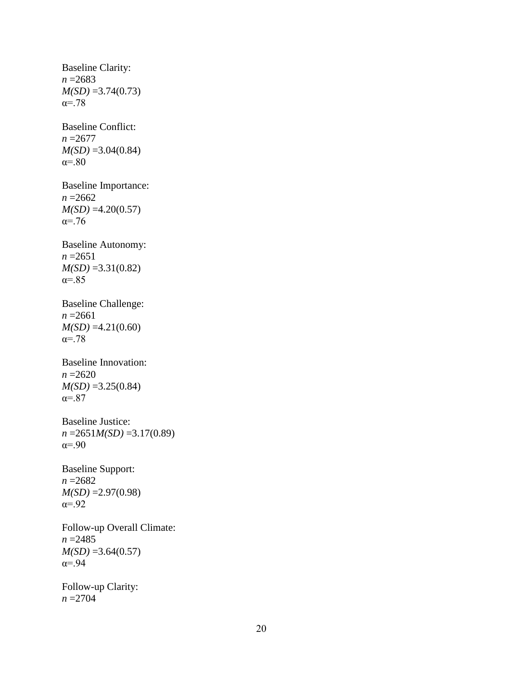Baseline Clarity: *n* =2683 *M(SD)* =3.74(0.73) α=.78 Baseline Conflict: *n* =2677  $M(SD) = 3.04(0.84)$ α=.80 Baseline Importance: *n* =2662 *M(SD)* =4.20(0.57) α=.76 Baseline Autonomy: *n* =2651 *M(SD)* =3.31(0.82)  $\alpha = 85$ Baseline Challenge: *n* =2661 *M(SD)* =4.21(0.60) α=.78 Baseline Innovation: *n* =2620 *M(SD)* =3.25(0.84)  $\alpha = 87$ Baseline Justice: *n* =2651*M(SD)* =3.17(0.89) α=.90 Baseline Support: *n* =2682 *M(SD)* =2.97(0.98)  $\alpha = .92$ Follow-up Overall Climate: *n* =2485  $M(SD) = 3.64(0.57)$ α=.94 Follow-up Clarity:

*n* =2704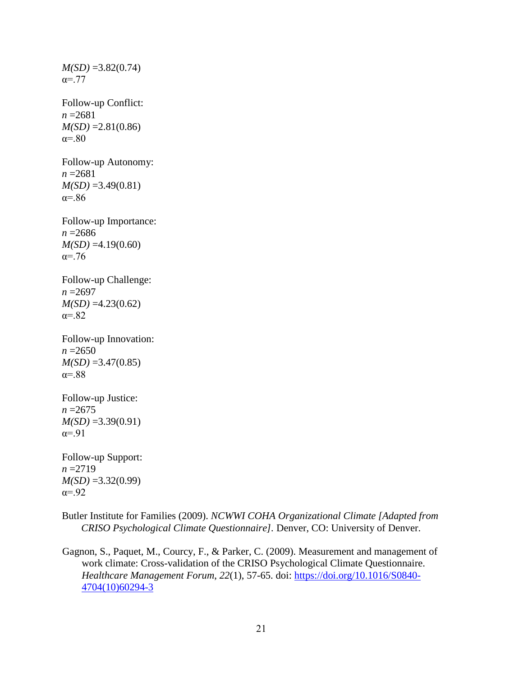*M(SD)* =3.82(0.74)  $\alpha = .77$ Follow-up Conflict: *n* =2681  $M(SD) = 2.81(0.86)$  $\alpha = .80$ Follow-up Autonomy: *n* =2681  $M(SD) = 3.49(0.81)$ α=.86 Follow-up Importance: *n* =2686  $M(SD) = 4.19(0.60)$  $α = .76$ Follow-up Challenge: *n* =2697 *M(SD)* =4.23(0.62) α=.82 Follow-up Innovation: *n* =2650  $M(SD) = 3.47(0.85)$  $\alpha = .88$ Follow-up Justice: *n* =2675 *M(SD)* =3.39(0.91)  $\alpha = .91$ Follow-up Support: *n* =2719 *M(SD)* =3.32(0.99)  $\alpha = .92$ 

Butler Institute for Families (2009). *NCWWI COHA Organizational Climate [Adapted from CRISO Psychological Climate Questionnaire].* Denver, CO: University of Denver.

Gagnon, S., Paquet, M., Courcy, F., & Parker, C. (2009). Measurement and management of work climate: Cross-validation of the CRISO Psychological Climate Questionnaire. *Healthcare Management Forum*, *22*(1), 57-65. doi: [https://doi.org/10.1016/S0840-](https://doi.org/10.1016/S0840-4704(10)60294-3) [4704\(10\)60294-3](https://doi.org/10.1016/S0840-4704(10)60294-3)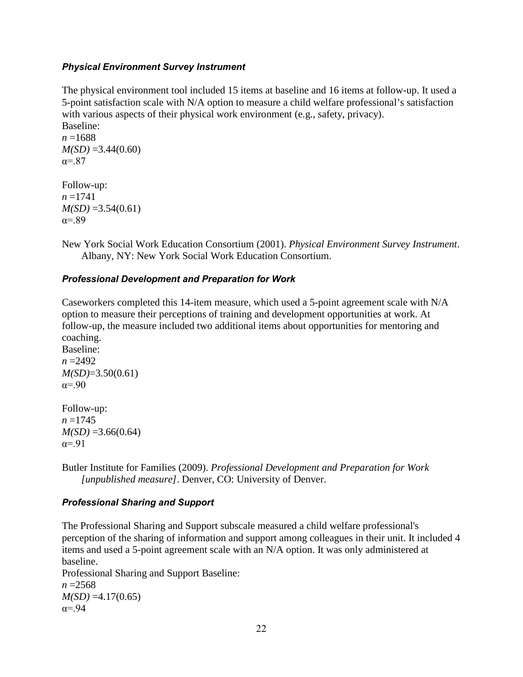## *Physical Environment Survey Instrument*

The physical environment tool included 15 items at baseline and 16 items at follow-up. It used a 5-point satisfaction scale with N/A option to measure a child welfare professional's satisfaction with various aspects of their physical work environment (e.g., safety, privacy).

Baseline: *n* =1688  $M(SD) = 3.44(0.60)$  $\alpha = .87$ 

Follow-up: *n* =1741  $M(SD) = 3.54(0.61)$  $\alpha = .89$ 

New York Social Work Education Consortium (2001). *Physical Environment Survey Instrument*. Albany, NY: New York Social Work Education Consortium.

## *Professional Development and Preparation for Work*

Caseworkers completed this 14-item measure, which used a 5-point agreement scale with N/A option to measure their perceptions of training and development opportunities at work. At follow-up, the measure included two additional items about opportunities for mentoring and coaching.

Baseline:  $n = 2492$ *M(SD)*=3.50(0.61)  $\alpha = .90$ 

Follow-up:  $n = 1745$  $M(SD) = 3.66(0.64)$  $\alpha = .91$ 

Butler Institute for Families (2009). *Professional Development and Preparation for Work [unpublished measure]*. Denver, CO: University of Denver.

## *Professional Sharing and Support*

The Professional Sharing and Support subscale measured a child welfare professional's perception of the sharing of information and support among colleagues in their unit. It included 4 items and used a 5-point agreement scale with an N/A option. It was only administered at baseline. Professional Sharing and Support Baseline: *n* =2568  $M(SD) = 4.17(0.65)$  $\alpha = .94$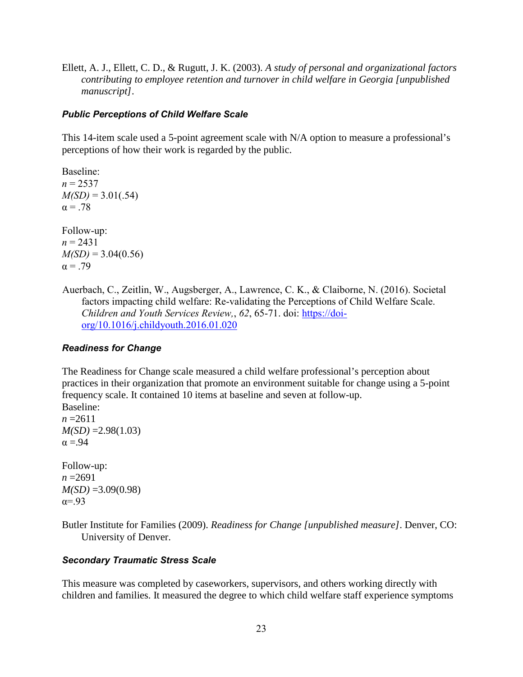Ellett, A. J., Ellett, C. D., & Rugutt, J. K. (2003). *A study of personal and organizational factors contributing to employee retention and turnover in child welfare in Georgia [unpublished manuscript]*.

## *Public Perceptions of Child Welfare Scale*

This 14-item scale used a 5-point agreement scale with N/A option to measure a professional's perceptions of how their work is regarded by the public.

Baseline:  $n = 2537$  $M(SD) = 3.01(.54)$  $\alpha = .78$ Follow-up:

 $n = 2431$  $M(SD) = 3.04(0.56)$  $\alpha = .79$ 

Auerbach, C., Zeitlin, W., Augsberger, A., Lawrence, C. K., & Claiborne, N. (2016). Societal factors impacting child welfare: Re-validating the Perceptions of Child Welfare Scale. *Children and Youth Services Review,*, *62*, 65-71. doi: [https://doi](https://doi-org/10.1016/j.childyouth.2016.01.020)[org/10.1016/j.childyouth.2016.01.020](https://doi-org/10.1016/j.childyouth.2016.01.020)

## *Readiness for Change*

The Readiness for Change scale measured a child welfare professional's perception about practices in their organization that promote an environment suitable for change using a 5-point frequency scale. It contained 10 items at baseline and seven at follow-up. Baseline:

 $n = 2611$ *M(SD)* =2.98(1.03)  $\alpha = 94$ 

Follow-up: *n* =2691  $M(SD) = 3.09(0.98)$  $\alpha = .93$ 

Butler Institute for Families (2009). *Readiness for Change [unpublished measure]*. Denver, CO: University of Denver.

## *Secondary Traumatic Stress Scale*

This measure was completed by caseworkers, supervisors, and others working directly with children and families. It measured the degree to which child welfare staff experience symptoms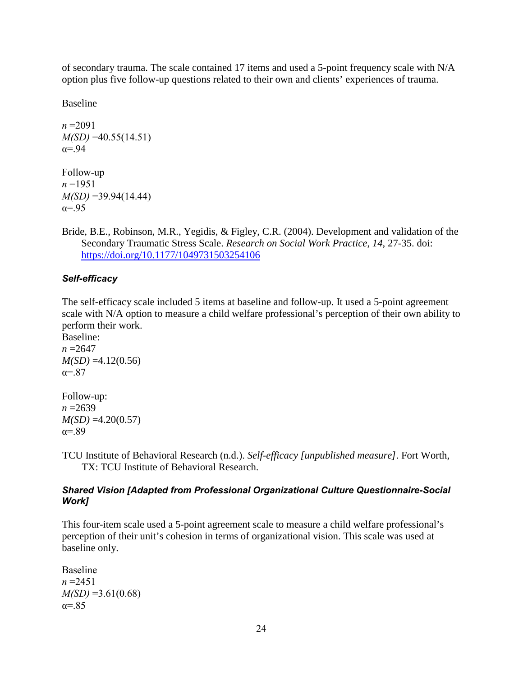of secondary trauma. The scale contained 17 items and used a 5-point frequency scale with N/A option plus five follow-up questions related to their own and clients' experiences of trauma.

Baseline

 $n = 2091$ *M(SD)* =40.55(14.51)  $\alpha = .94$ 

Follow-up *n* =1951 *M(SD)* =39.94(14.44)  $\alpha = .95$ 

Bride, B.E., Robinson, M.R., Yegidis, & Figley, C.R. (2004). Development and validation of the Secondary Traumatic Stress Scale. *Research on Social Work Practice*, *14*, 27-35. doi: <https://doi.org/10.1177/1049731503254106>

## *Self-efficacy*

The self-efficacy scale included 5 items at baseline and follow-up. It used a 5-point agreement scale with N/A option to measure a child welfare professional's perception of their own ability to perform their work.

Baseline: *n* =2647  $M(SD) = 4.12(0.56)$  $\alpha = .87$ 

Follow-up: *n* =2639  $M(SD) = 4.20(0.57)$ α=.89

TCU Institute of Behavioral Research (n.d.). *Self-efficacy [unpublished measure]*. Fort Worth, TX: TCU Institute of Behavioral Research.

## *Shared Vision [Adapted from Professional Organizational Culture Questionnaire-Social Work]*

This four-item scale used a 5-point agreement scale to measure a child welfare professional's perception of their unit's cohesion in terms of organizational vision. This scale was used at baseline only.

Baseline *n* =2451  $M(SD) = 3.61(0.68)$  $\alpha = 85$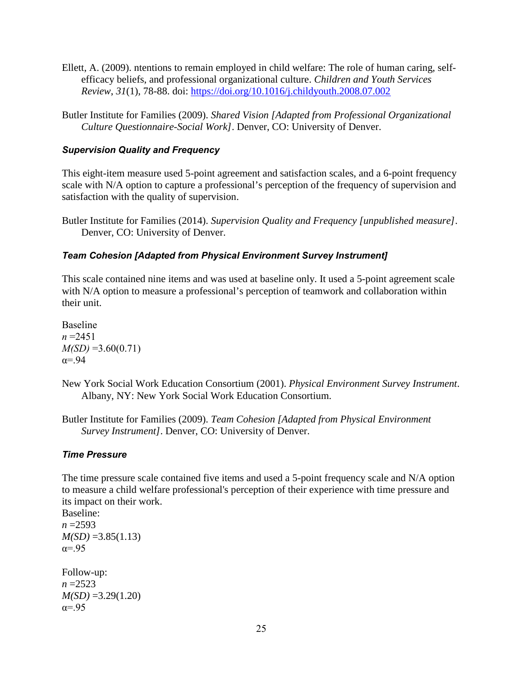- Ellett, A. (2009). ntentions to remain employed in child welfare: The role of human caring, selfefficacy beliefs, and professional organizational culture. *Children and Youth Services Review*, *31*(1), 78-88. doi: <https://doi.org/10.1016/j.childyouth.2008.07.002>
- Butler Institute for Families (2009). *Shared Vision [Adapted from Professional Organizational Culture Questionnaire-Social Work]*. Denver, CO: University of Denver.

## *Supervision Quality and Frequency*

This eight-item measure used 5-point agreement and satisfaction scales, and a 6-point frequency scale with N/A option to capture a professional's perception of the frequency of supervision and satisfaction with the quality of supervision.

Butler Institute for Families (2014). *Supervision Quality and Frequency [unpublished measure]*. Denver, CO: University of Denver.

## *Team Cohesion [Adapted from Physical Environment Survey Instrument]*

This scale contained nine items and was used at baseline only. It used a 5-point agreement scale with N/A option to measure a professional's perception of teamwork and collaboration within their unit.

Baseline *n* =2451  $M(SD) = 3.60(0.71)$  $\alpha = .94$ 

- New York Social Work Education Consortium (2001). *Physical Environment Survey Instrument*. Albany, NY: New York Social Work Education Consortium.
- Butler Institute for Families (2009). *Team Cohesion [Adapted from Physical Environment Survey Instrument]*. Denver, CO: University of Denver.

#### *Time Pressure*

The time pressure scale contained five items and used a 5-point frequency scale and N/A option to measure a child welfare professional's perception of their experience with time pressure and its impact on their work.

Baseline: *n* =2593  $M(SD) = 3.85(1.13)$  $\alpha = .95$ 

Follow-up: *n* =2523 *M(SD)* =3.29(1.20)  $\alpha = .95$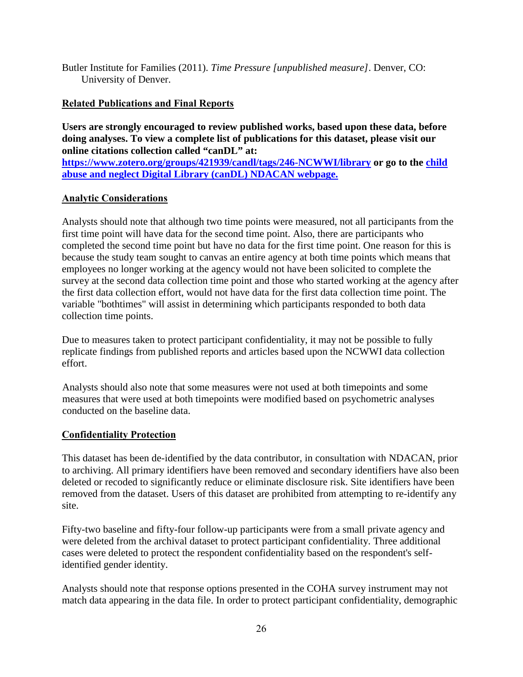Butler Institute for Families (2011). *Time Pressure [unpublished measure]*. Denver, CO: University of Denver.

## <span id="page-25-0"></span>**Related Publications and Final Reports**

**Users are strongly encouraged to review published works, based upon these data, before doing analyses. To view a complete list of publications for this dataset, please visit our online citations collection called "canDL" at:** 

**<https://www.zotero.org/groups/421939/candl/tags/246-NCWWI/library> or go to the [child](https://www.ndacan.acf.hhs.gov/candl/candl.cfm)  [abuse and neglect Digital Library \(canDL\) NDACAN webpage.](https://www.ndacan.acf.hhs.gov/candl/candl.cfm)** 

## <span id="page-25-1"></span>**Analytic Considerations**

Analysts should note that although two time points were measured, not all participants from the first time point will have data for the second time point. Also, there are participants who completed the second time point but have no data for the first time point. One reason for this is because the study team sought to canvas an entire agency at both time points which means that employees no longer working at the agency would not have been solicited to complete the survey at the second data collection time point and those who started working at the agency after the first data collection effort, would not have data for the first data collection time point. The variable "bothtimes" will assist in determining which participants responded to both data collection time points.

Due to measures taken to protect participant confidentiality, it may not be possible to fully replicate findings from published reports and articles based upon the NCWWI data collection effort.

Analysts should also note that some measures were not used at both timepoints and some measures that were used at both timepoints were modified based on psychometric analyses conducted on the baseline data.

## <span id="page-25-2"></span>**Confidentiality Protection**

This dataset has been de-identified by the data contributor, in consultation with NDACAN, prior to archiving. All primary identifiers have been removed and secondary identifiers have also been deleted or recoded to significantly reduce or eliminate disclosure risk. Site identifiers have been removed from the dataset. Users of this dataset are prohibited from attempting to re-identify any site.

Fifty-two baseline and fifty-four follow-up participants were from a small private agency and were deleted from the archival dataset to protect participant confidentiality. Three additional cases were deleted to protect the respondent confidentiality based on the respondent's selfidentified gender identity.

Analysts should note that response options presented in the COHA survey instrument may not match data appearing in the data file. In order to protect participant confidentiality, demographic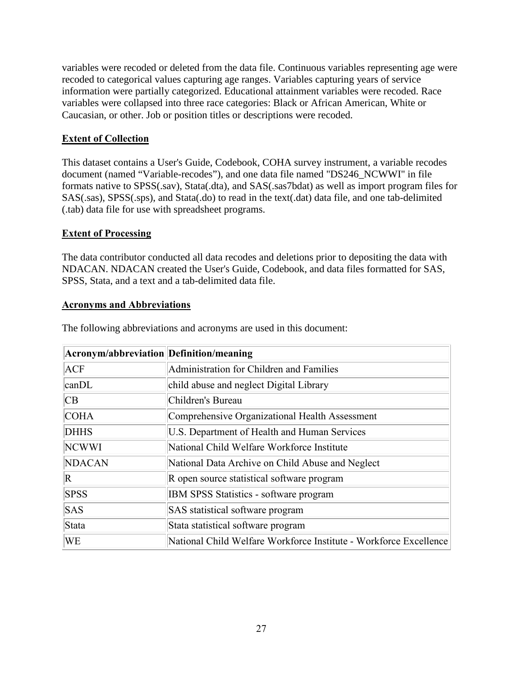variables were recoded or deleted from the data file. Continuous variables representing age were recoded to categorical values capturing age ranges. Variables capturing years of service information were partially categorized. Educational attainment variables were recoded. Race variables were collapsed into three race categories: Black or African American, White or Caucasian, or other. Job or position titles or descriptions were recoded.

## <span id="page-26-0"></span>**Extent of Collection**

This dataset contains a User's Guide, Codebook, COHA survey instrument, a variable recodes document (named "Variable-recodes"), and one data file named "DS246\_NCWWI" in file formats native to SPSS(.sav), Stata(.dta), and SAS(.sas7bdat) as well as import program files for SAS(.sas), SPSS(.sps), and Stata(.do) to read in the text(.dat) data file, and one tab-delimited (.tab) data file for use with spreadsheet programs.

## <span id="page-26-1"></span>**Extent of Processing**

The data contributor conducted all data recodes and deletions prior to depositing the data with NDACAN. NDACAN created the User's Guide, Codebook, and data files formatted for SAS, SPSS, Stata, and a text and a tab-delimited data file.

## <span id="page-26-2"></span>**Acronyms and Abbreviations**

| Acronym/abbreviation Definition/meaning |                                                                   |
|-----------------------------------------|-------------------------------------------------------------------|
| <b>ACF</b>                              | Administration for Children and Families                          |
| $\text{can}$ DL                         | child abuse and neglect Digital Library                           |
| CB                                      | Children's Bureau                                                 |
| <b>COHA</b>                             | Comprehensive Organizational Health Assessment                    |
| <b>DHHS</b>                             | U.S. Department of Health and Human Services                      |
| <b>NCWWI</b>                            | National Child Welfare Workforce Institute                        |
| <b>NDACAN</b>                           | National Data Archive on Child Abuse and Neglect                  |
| $\mathbf R$                             | R open source statistical software program                        |
| <b>SPSS</b>                             | <b>IBM SPSS Statistics - software program</b>                     |
| <b>SAS</b>                              | SAS statistical software program                                  |
| Stata                                   | Stata statistical software program                                |
| <b>WE</b>                               | National Child Welfare Workforce Institute - Workforce Excellence |

The following abbreviations and acronyms are used in this document: